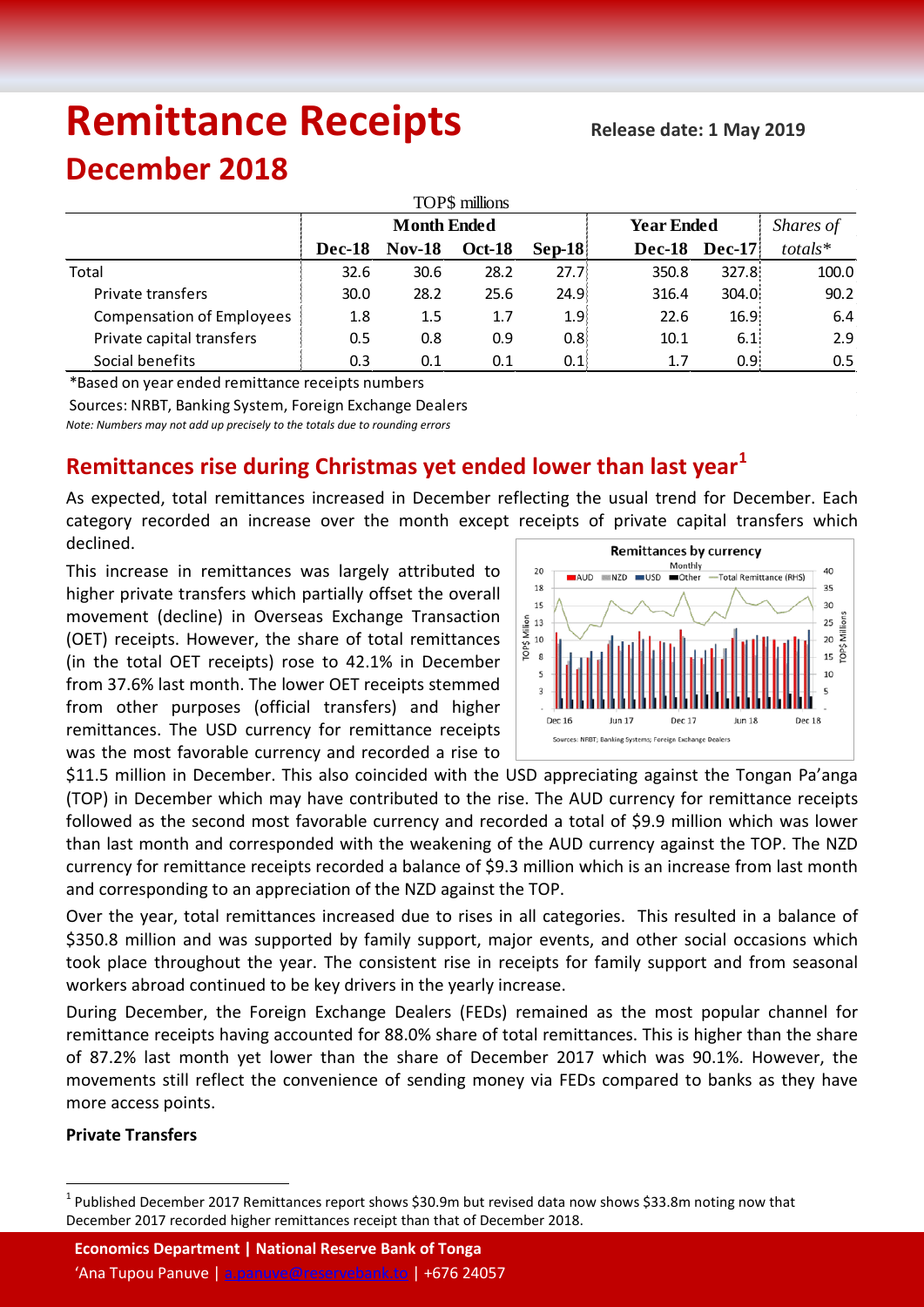# **Remittance Receipts**

## **December 2018**

| TOP\$ millions                   |                    |               |               |                   |                   |               |               |  |  |  |  |  |
|----------------------------------|--------------------|---------------|---------------|-------------------|-------------------|---------------|---------------|--|--|--|--|--|
|                                  | <b>Month Ended</b> |               |               |                   | <b>Year Ended</b> | Shares of     |               |  |  |  |  |  |
|                                  | Dec-18             | <b>Nov-18</b> | <b>Oct-18</b> | $\textbf{Sep-}18$ | <b>Dec-18</b>     | <b>Dec-17</b> | $totals*$     |  |  |  |  |  |
| Total                            | 32.6               | 30.6          | 28.2          | 27.7 <sup>1</sup> | 350.8             | 327.8         | 100.0         |  |  |  |  |  |
| Private transfers                | 30.0               | 28.2          | 25.6          | 24.9              | 316.4             | 304.0         | 90.2          |  |  |  |  |  |
| <b>Compensation of Employees</b> | 1.8                | $1.5\,$       | 1.7           | 1.9 <sup>1</sup>  | 22.6              | 16.9          | 6.4           |  |  |  |  |  |
| Private capital transfers        | 0.5                | 0.8           | 0.9           | 0.8 <sub>1</sub>  | 10.1              | 6.1           | 2.9           |  |  |  |  |  |
| Social benefits                  | 0.3                | 0.1           | 0.1           | 0.1               | 1.7               | 0.95          | $0.5^{\circ}$ |  |  |  |  |  |

\*Based on year ended remittance receipts numbers

Sources: NRBT, Banking System, Foreign Exchange Dealers

*Note: Numbers may not add up precisely to the totals due to rounding errors*

### **Remittances rise during Christmas yet ended lower than last year[1](#page-0-0)**

As expected, total remittances increased in December reflecting the usual trend for December. Each category recorded an increase over the month except receipts of private capital transfers which declined.

This increase in remittances was largely attributed to higher private transfers which partially offset the overall movement (decline) in Overseas Exchange Transaction (OET) receipts. However, the share of total remittances (in the total OET receipts) rose to 42.1% in December from 37.6% last month. The lower OET receipts stemmed from other purposes (official transfers) and higher remittances. The USD currency for remittance receipts was the most favorable currency and recorded a rise to



\$11.5 million in December. This also coincided with the USD appreciating against the Tongan Pa'anga (TOP) in December which may have contributed to the rise. The AUD currency for remittance receipts followed as the second most favorable currency and recorded a total of \$9.9 million which was lower than last month and corresponded with the weakening of the AUD currency against the TOP. The NZD currency for remittance receipts recorded a balance of \$9.3 million which is an increase from last month and corresponding to an appreciation of the NZD against the TOP.

Over the year, total remittances increased due to rises in all categories. This resulted in a balance of \$350.8 million and was supported by family support, major events, and other social occasions which took place throughout the year. The consistent rise in receipts for family support and from seasonal workers abroad continued to be key drivers in the yearly increase.

During December, the Foreign Exchange Dealers (FEDs) remained as the most popular channel for remittance receipts having accounted for 88.0% share of total remittances. This is higher than the share of 87.2% last month yet lower than the share of December 2017 which was 90.1%. However, the movements still reflect the convenience of sending money via FEDs compared to banks as they have more access points.

#### **Private Transfers**

<span id="page-0-0"></span> $1$  Published December 2017 Remittances report shows \$30.9m but revised data now shows \$33.8m noting now that December 2017 recorded higher remittances receipt than that of December 2018.